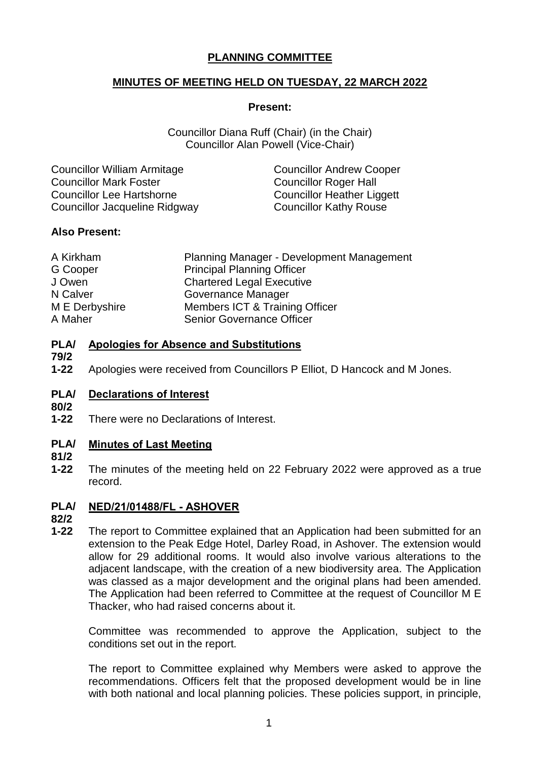# **PLANNING COMMITTEE**

## **MINUTES OF MEETING HELD ON TUESDAY, 22 MARCH 2022**

#### **Present:**

Councillor Diana Ruff (Chair) (in the Chair) Councillor Alan Powell (Vice-Chair)

| <b>Councillor William Armitage</b> | <b>Councillor Andrew Cooper</b>   |
|------------------------------------|-----------------------------------|
| <b>Councillor Mark Foster</b>      | <b>Councillor Roger Hall</b>      |
| <b>Councillor Lee Hartshorne</b>   | <b>Councillor Heather Liggett</b> |
| Councillor Jacqueline Ridgway      | <b>Councillor Kathy Rouse</b>     |

## **Also Present:**

| A Kirkham      | Planning Manager - Development Management |
|----------------|-------------------------------------------|
| G Cooper       | <b>Principal Planning Officer</b>         |
| J Owen         | <b>Chartered Legal Executive</b>          |
| N Calver       | Governance Manager                        |
| M E Derbyshire | Members ICT & Training Officer            |
| A Maher        | <b>Senior Governance Officer</b>          |

#### **PLA/ Apologies for Absence and Substitutions**

- **79/2**
- **1-22** Apologies were received from Councillors P Elliot, D Hancock and M Jones.

#### **PLA/ Declarations of Interest**

- **80/2**
- **1-22** There were no Declarations of Interest.

#### **PLA/ Minutes of Last Meeting**

- **81/2**
- **1-22** The minutes of the meeting held on 22 February 2022 were approved as a true record.

#### **PLA/ NED/21/01488/FL - ASHOVER**

**82/2**

**1-22** The report to Committee explained that an Application had been submitted for an extension to the Peak Edge Hotel, Darley Road, in Ashover. The extension would allow for 29 additional rooms. It would also involve various alterations to the adjacent landscape, with the creation of a new biodiversity area. The Application was classed as a major development and the original plans had been amended. The Application had been referred to Committee at the request of Councillor M E Thacker, who had raised concerns about it.

Committee was recommended to approve the Application, subject to the conditions set out in the report.

The report to Committee explained why Members were asked to approve the recommendations. Officers felt that the proposed development would be in line with both national and local planning policies. These policies support, in principle,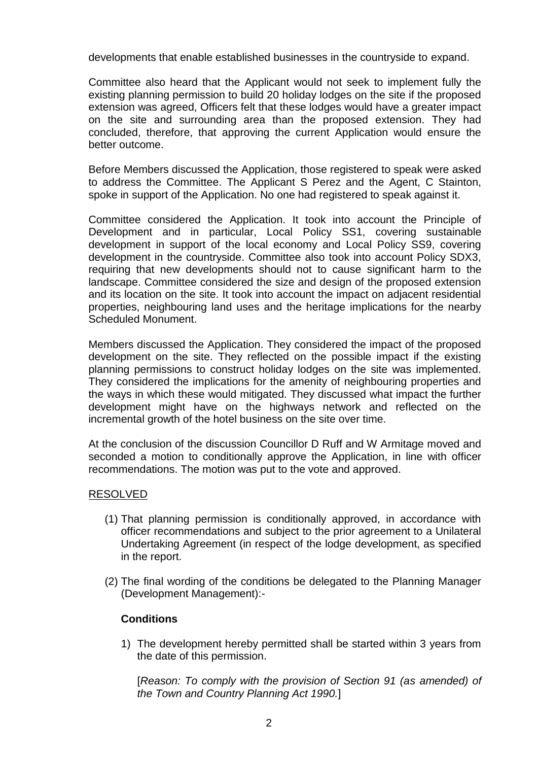developments that enable established businesses in the countryside to expand.

Committee also heard that the Applicant would not seek to implement fully the existing planning permission to build 20 holiday lodges on the site if the proposed extension was agreed, Officers felt that these lodges would have a greater impact on the site and surrounding area than the proposed extension. They had concluded, therefore, that approving the current Application would ensure the better outcome.

Before Members discussed the Application, those registered to speak were asked to address the Committee. The Applicant S Perez and the Agent, C Stainton, spoke in support of the Application. No one had registered to speak against it.

Committee considered the Application. It took into account the Principle of Development and in particular, Local Policy SS1, covering sustainable development in support of the local economy and Local Policy SS9, covering development in the countryside. Committee also took into account Policy SDX3, requiring that new developments should not to cause significant harm to the landscape. Committee considered the size and design of the proposed extension and its location on the site. It took into account the impact on adjacent residential properties, neighbouring land uses and the heritage implications for the nearby Scheduled Monument.

Members discussed the Application. They considered the impact of the proposed development on the site. They reflected on the possible impact if the existing planning permissions to construct holiday lodges on the site was implemented. They considered the implications for the amenity of neighbouring properties and the ways in which these would mitigated. They discussed what impact the further development might have on the highways network and reflected on the incremental growth of the hotel business on the site over time.

At the conclusion of the discussion Councillor D Ruff and W Armitage moved and seconded a motion to conditionally approve the Application, in line with officer recommendations. The motion was put to the vote and approved.

### RESOLVED

- (1) That planning permission is conditionally approved, in accordance with officer recommendations and subject to the prior agreement to a Unilateral Undertaking Agreement (in respect of the lodge development, as specified in the report.
- (2) The final wording of the conditions be delegated to the Planning Manager (Development Management):-

### **Conditions**

1) The development hereby permitted shall be started within 3 years from the date of this permission.

[*Reason: To comply with the provision of Section 91 (as amended) of the Town and Country Planning Act 1990.*]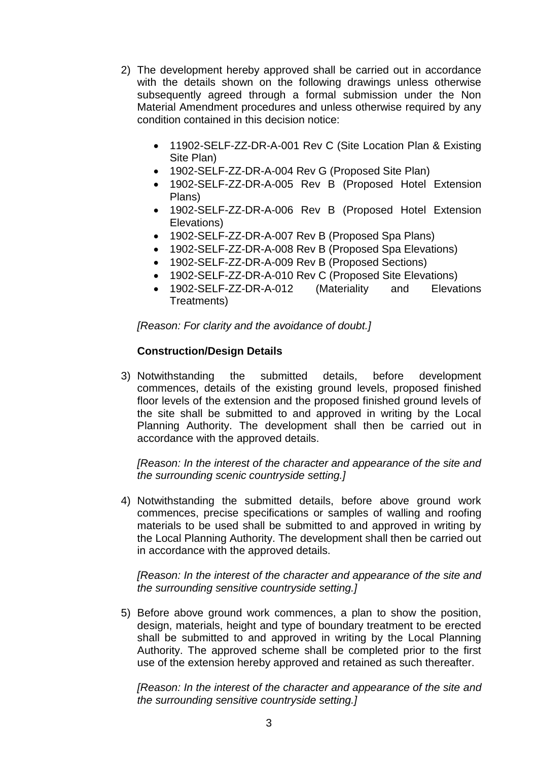- 2) The development hereby approved shall be carried out in accordance with the details shown on the following drawings unless otherwise subsequently agreed through a formal submission under the Non Material Amendment procedures and unless otherwise required by any condition contained in this decision notice:
	- 11902-SELF-ZZ-DR-A-001 Rev C (Site Location Plan & Existing Site Plan)
	- 1902-SELF-ZZ-DR-A-004 Rev G (Proposed Site Plan)
	- 1902-SELF-ZZ-DR-A-005 Rev B (Proposed Hotel Extension Plans)
	- 1902-SELF-ZZ-DR-A-006 Rev B (Proposed Hotel Extension Elevations)
	- 1902-SELF-ZZ-DR-A-007 Rev B (Proposed Spa Plans)
	- 1902-SELF-ZZ-DR-A-008 Rev B (Proposed Spa Elevations)
	- 1902-SELF-ZZ-DR-A-009 Rev B (Proposed Sections)
	- 1902-SELF-ZZ-DR-A-010 Rev C (Proposed Site Elevations)
	- 1902-SELF-ZZ-DR-A-012 (Materiality and Elevations Treatments)

*[Reason: For clarity and the avoidance of doubt.]*

### **Construction/Design Details**

3) Notwithstanding the submitted details, before development commences, details of the existing ground levels, proposed finished floor levels of the extension and the proposed finished ground levels of the site shall be submitted to and approved in writing by the Local Planning Authority. The development shall then be carried out in accordance with the approved details.

*[Reason: In the interest of the character and appearance of the site and the surrounding scenic countryside setting.]*

4) Notwithstanding the submitted details, before above ground work commences, precise specifications or samples of walling and roofing materials to be used shall be submitted to and approved in writing by the Local Planning Authority. The development shall then be carried out in accordance with the approved details.

*[Reason: In the interest of the character and appearance of the site and the surrounding sensitive countryside setting.]*

5) Before above ground work commences, a plan to show the position, design, materials, height and type of boundary treatment to be erected shall be submitted to and approved in writing by the Local Planning Authority. The approved scheme shall be completed prior to the first use of the extension hereby approved and retained as such thereafter.

*[Reason: In the interest of the character and appearance of the site and the surrounding sensitive countryside setting.]*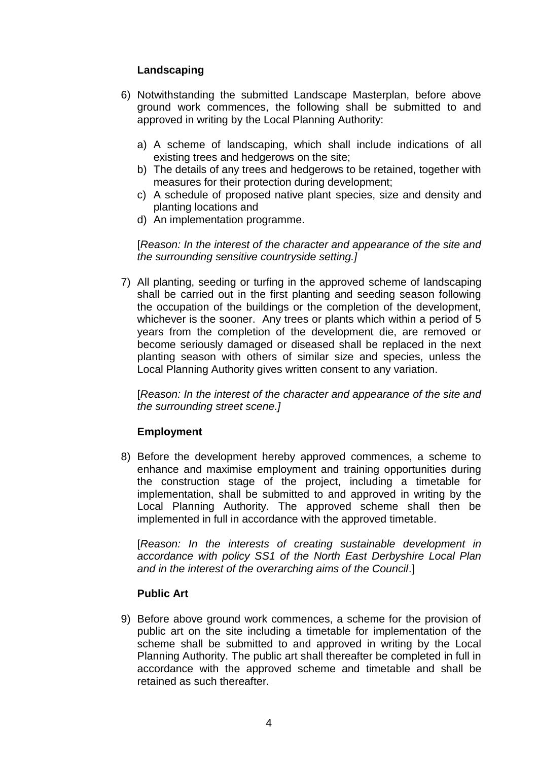## **Landscaping**

- 6) Notwithstanding the submitted Landscape Masterplan, before above ground work commences, the following shall be submitted to and approved in writing by the Local Planning Authority:
	- a) A scheme of landscaping, which shall include indications of all existing trees and hedgerows on the site;
	- b) The details of any trees and hedgerows to be retained, together with measures for their protection during development;
	- c) A schedule of proposed native plant species, size and density and planting locations and
	- d) An implementation programme.

[*Reason: In the interest of the character and appearance of the site and the surrounding sensitive countryside setting.]*

7) All planting, seeding or turfing in the approved scheme of landscaping shall be carried out in the first planting and seeding season following the occupation of the buildings or the completion of the development, whichever is the sooner. Any trees or plants which within a period of 5 years from the completion of the development die, are removed or become seriously damaged or diseased shall be replaced in the next planting season with others of similar size and species, unless the Local Planning Authority gives written consent to any variation.

[*Reason: In the interest of the character and appearance of the site and the surrounding street scene.]*

# **Employment**

8) Before the development hereby approved commences, a scheme to enhance and maximise employment and training opportunities during the construction stage of the project, including a timetable for implementation, shall be submitted to and approved in writing by the Local Planning Authority. The approved scheme shall then be implemented in full in accordance with the approved timetable.

[*Reason: In the interests of creating sustainable development in accordance with policy SS1 of the North East Derbyshire Local Plan and in the interest of the overarching aims of the Council*.]

### **Public Art**

9) Before above ground work commences, a scheme for the provision of public art on the site including a timetable for implementation of the scheme shall be submitted to and approved in writing by the Local Planning Authority. The public art shall thereafter be completed in full in accordance with the approved scheme and timetable and shall be retained as such thereafter.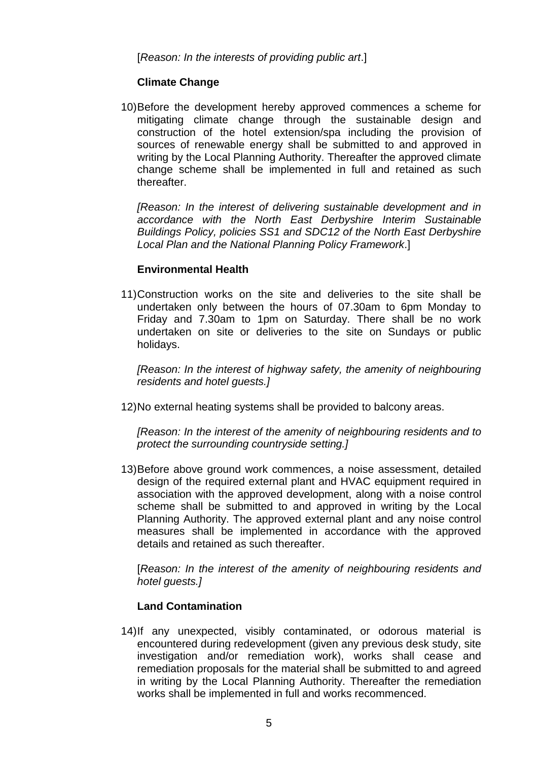[*Reason: In the interests of providing public art*.]

## **Climate Change**

10)Before the development hereby approved commences a scheme for mitigating climate change through the sustainable design and construction of the hotel extension/spa including the provision of sources of renewable energy shall be submitted to and approved in writing by the Local Planning Authority. Thereafter the approved climate change scheme shall be implemented in full and retained as such thereafter.

*[Reason: In the interest of delivering sustainable development and in accordance with the North East Derbyshire Interim Sustainable Buildings Policy, policies SS1 and SDC12 of the North East Derbyshire Local Plan and the National Planning Policy Framework*.]

## **Environmental Health**

11)Construction works on the site and deliveries to the site shall be undertaken only between the hours of 07.30am to 6pm Monday to Friday and 7.30am to 1pm on Saturday. There shall be no work undertaken on site or deliveries to the site on Sundays or public holidays.

*[Reason: In the interest of highway safety, the amenity of neighbouring residents and hotel guests.]*

12)No external heating systems shall be provided to balcony areas.

*[Reason: In the interest of the amenity of neighbouring residents and to protect the surrounding countryside setting.]*

13)Before above ground work commences, a noise assessment, detailed design of the required external plant and HVAC equipment required in association with the approved development, along with a noise control scheme shall be submitted to and approved in writing by the Local Planning Authority. The approved external plant and any noise control measures shall be implemented in accordance with the approved details and retained as such thereafter.

[*Reason: In the interest of the amenity of neighbouring residents and hotel guests.]*

### **Land Contamination**

14)If any unexpected, visibly contaminated, or odorous material is encountered during redevelopment (given any previous desk study, site investigation and/or remediation work), works shall cease and remediation proposals for the material shall be submitted to and agreed in writing by the Local Planning Authority. Thereafter the remediation works shall be implemented in full and works recommenced.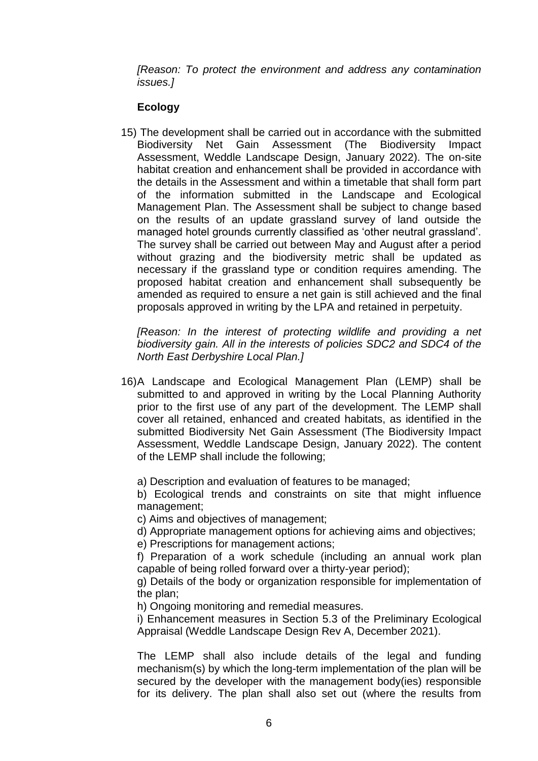*[Reason: To protect the environment and address any contamination issues.]*

## **Ecology**

15) The development shall be carried out in accordance with the submitted Biodiversity Net Gain Assessment (The Biodiversity Impact Assessment, Weddle Landscape Design, January 2022). The on-site habitat creation and enhancement shall be provided in accordance with the details in the Assessment and within a timetable that shall form part of the information submitted in the Landscape and Ecological Management Plan. The Assessment shall be subject to change based on the results of an update grassland survey of land outside the managed hotel grounds currently classified as 'other neutral grassland'. The survey shall be carried out between May and August after a period without grazing and the biodiversity metric shall be updated as necessary if the grassland type or condition requires amending. The proposed habitat creation and enhancement shall subsequently be amended as required to ensure a net gain is still achieved and the final proposals approved in writing by the LPA and retained in perpetuity.

*[Reason: In the interest of protecting wildlife and providing a net biodiversity gain. All in the interests of policies SDC2 and SDC4 of the North East Derbyshire Local Plan.]*

16)A Landscape and Ecological Management Plan (LEMP) shall be submitted to and approved in writing by the Local Planning Authority prior to the first use of any part of the development. The LEMP shall cover all retained, enhanced and created habitats, as identified in the submitted Biodiversity Net Gain Assessment (The Biodiversity Impact Assessment, Weddle Landscape Design, January 2022). The content of the LEMP shall include the following;

a) Description and evaluation of features to be managed;

b) Ecological trends and constraints on site that might influence management;

c) Aims and objectives of management;

d) Appropriate management options for achieving aims and objectives;

e) Prescriptions for management actions;

f) Preparation of a work schedule (including an annual work plan capable of being rolled forward over a thirty-year period);

g) Details of the body or organization responsible for implementation of the plan;

h) Ongoing monitoring and remedial measures.

i) Enhancement measures in Section 5.3 of the Preliminary Ecological Appraisal (Weddle Landscape Design Rev A, December 2021).

The LEMP shall also include details of the legal and funding mechanism(s) by which the long-term implementation of the plan will be secured by the developer with the management body(ies) responsible for its delivery. The plan shall also set out (where the results from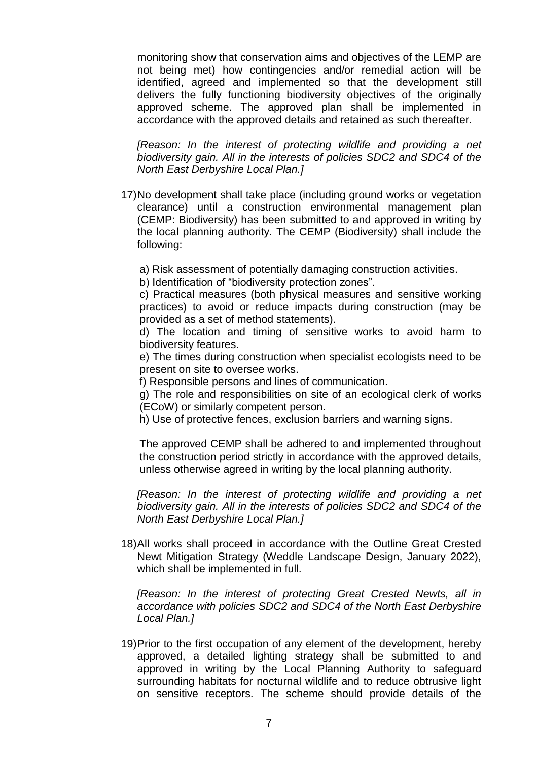monitoring show that conservation aims and objectives of the LEMP are not being met) how contingencies and/or remedial action will be identified, agreed and implemented so that the development still delivers the fully functioning biodiversity objectives of the originally approved scheme. The approved plan shall be implemented in accordance with the approved details and retained as such thereafter.

*[Reason: In the interest of protecting wildlife and providing a net biodiversity gain. All in the interests of policies SDC2 and SDC4 of the North East Derbyshire Local Plan.]*

17)No development shall take place (including ground works or vegetation clearance) until a construction environmental management plan (CEMP: Biodiversity) has been submitted to and approved in writing by the local planning authority. The CEMP (Biodiversity) shall include the following:

a) Risk assessment of potentially damaging construction activities.

b) Identification of "biodiversity protection zones".

c) Practical measures (both physical measures and sensitive working practices) to avoid or reduce impacts during construction (may be provided as a set of method statements).

d) The location and timing of sensitive works to avoid harm to biodiversity features.

e) The times during construction when specialist ecologists need to be present on site to oversee works.

f) Responsible persons and lines of communication.

g) The role and responsibilities on site of an ecological clerk of works (ECoW) or similarly competent person.

h) Use of protective fences, exclusion barriers and warning signs.

The approved CEMP shall be adhered to and implemented throughout the construction period strictly in accordance with the approved details, unless otherwise agreed in writing by the local planning authority.

*IReason: In the interest of protecting wildlife and providing a net biodiversity gain. All in the interests of policies SDC2 and SDC4 of the North East Derbyshire Local Plan.]*

18)All works shall proceed in accordance with the Outline Great Crested Newt Mitigation Strategy (Weddle Landscape Design, January 2022), which shall be implemented in full.

*[Reason: In the interest of protecting Great Crested Newts, all in accordance with policies SDC2 and SDC4 of the North East Derbyshire Local Plan.]*

19)Prior to the first occupation of any element of the development, hereby approved, a detailed lighting strategy shall be submitted to and approved in writing by the Local Planning Authority to safeguard surrounding habitats for nocturnal wildlife and to reduce obtrusive light on sensitive receptors. The scheme should provide details of the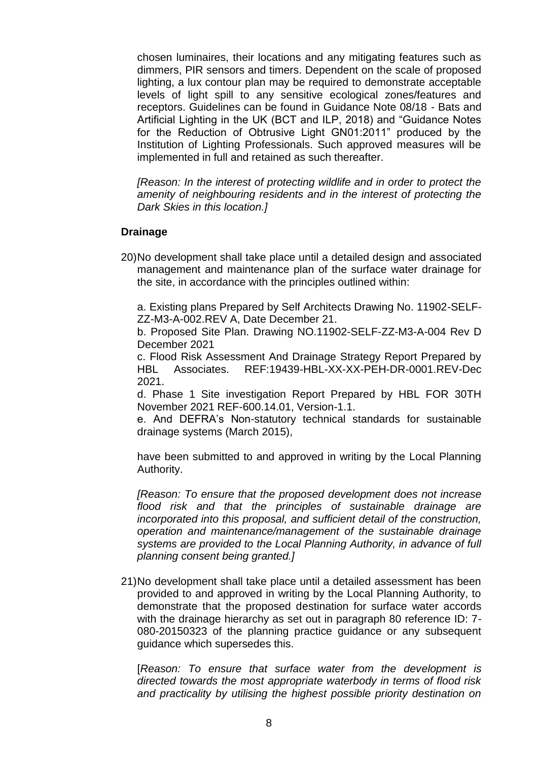chosen luminaires, their locations and any mitigating features such as dimmers, PIR sensors and timers. Dependent on the scale of proposed lighting, a lux contour plan may be required to demonstrate acceptable levels of light spill to any sensitive ecological zones/features and receptors. Guidelines can be found in Guidance Note 08/18 - Bats and Artificial Lighting in the UK (BCT and ILP, 2018) and "Guidance Notes for the Reduction of Obtrusive Light GN01:2011" produced by the Institution of Lighting Professionals. Such approved measures will be implemented in full and retained as such thereafter.

*[Reason: In the interest of protecting wildlife and in order to protect the amenity of neighbouring residents and in the interest of protecting the Dark Skies in this location.]* 

### **Drainage**

20)No development shall take place until a detailed design and associated management and maintenance plan of the surface water drainage for the site, in accordance with the principles outlined within:

a. Existing plans Prepared by Self Architects Drawing No. 11902-SELF-ZZ-M3-A-002.REV A, Date December 21.

b. Proposed Site Plan. Drawing NO.11902-SELF-ZZ-M3-A-004 Rev D December 2021

c. Flood Risk Assessment And Drainage Strategy Report Prepared by HBL Associates. REF:19439-HBL-XX-XX-PEH-DR-0001.REV-Dec 2021.

d. Phase 1 Site investigation Report Prepared by HBL FOR 30TH November 2021 REF-600.14.01, Version-1.1.

e. And DEFRA's Non-statutory technical standards for sustainable drainage systems (March 2015),

have been submitted to and approved in writing by the Local Planning Authority.

*[Reason: To ensure that the proposed development does not increase flood risk and that the principles of sustainable drainage are incorporated into this proposal, and sufficient detail of the construction, operation and maintenance/management of the sustainable drainage systems are provided to the Local Planning Authority, in advance of full planning consent being granted.]*

21)No development shall take place until a detailed assessment has been provided to and approved in writing by the Local Planning Authority, to demonstrate that the proposed destination for surface water accords with the drainage hierarchy as set out in paragraph 80 reference ID: 7- 080-20150323 of the planning practice guidance or any subsequent guidance which supersedes this.

[*Reason: To ensure that surface water from the development is directed towards the most appropriate waterbody in terms of flood risk and practicality by utilising the highest possible priority destination on*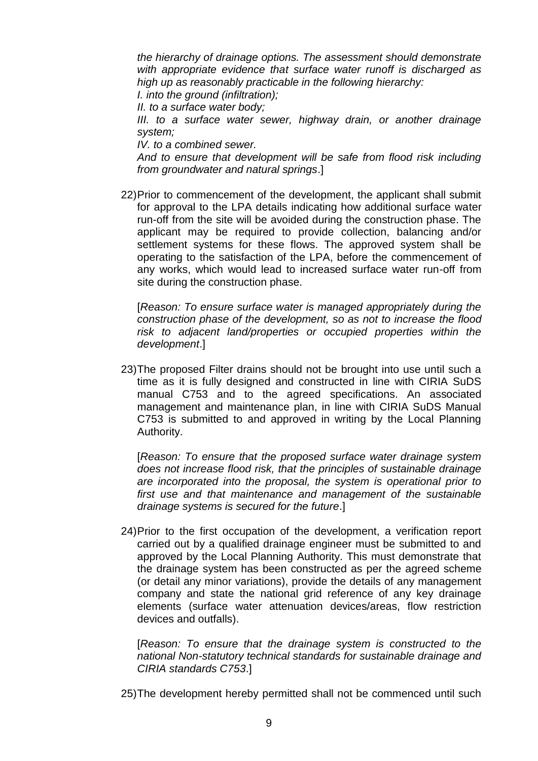*the hierarchy of drainage options. The assessment should demonstrate with appropriate evidence that surface water runoff is discharged as high up as reasonably practicable in the following hierarchy:*

*I. into the ground (infiltration);*

*II. to a surface water body;*

*III. to a surface water sewer, highway drain, or another drainage system;*

*IV. to a combined sewer.*

*And to ensure that development will be safe from flood risk including from groundwater and natural springs*.]

22)Prior to commencement of the development, the applicant shall submit for approval to the LPA details indicating how additional surface water run-off from the site will be avoided during the construction phase. The applicant may be required to provide collection, balancing and/or settlement systems for these flows. The approved system shall be operating to the satisfaction of the LPA, before the commencement of any works, which would lead to increased surface water run-off from site during the construction phase.

[*Reason: To ensure surface water is managed appropriately during the construction phase of the development, so as not to increase the flood risk to adjacent land/properties or occupied properties within the development*.]

23)The proposed Filter drains should not be brought into use until such a time as it is fully designed and constructed in line with CIRIA SuDS manual C753 and to the agreed specifications. An associated management and maintenance plan, in line with CIRIA SuDS Manual C753 is submitted to and approved in writing by the Local Planning Authority.

[*Reason: To ensure that the proposed surface water drainage system does not increase flood risk, that the principles of sustainable drainage are incorporated into the proposal, the system is operational prior to first use and that maintenance and management of the sustainable drainage systems is secured for the future*.]

24)Prior to the first occupation of the development, a verification report carried out by a qualified drainage engineer must be submitted to and approved by the Local Planning Authority. This must demonstrate that the drainage system has been constructed as per the agreed scheme (or detail any minor variations), provide the details of any management company and state the national grid reference of any key drainage elements (surface water attenuation devices/areas, flow restriction devices and outfalls).

[*Reason: To ensure that the drainage system is constructed to the national Non-statutory technical standards for sustainable drainage and CIRIA standards C753*.]

25)The development hereby permitted shall not be commenced until such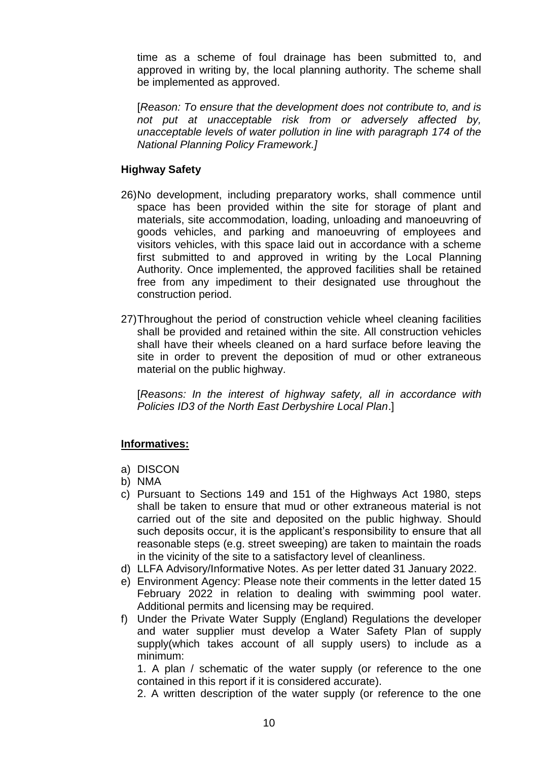time as a scheme of foul drainage has been submitted to, and approved in writing by, the local planning authority. The scheme shall be implemented as approved.

[*Reason: To ensure that the development does not contribute to, and is not put at unacceptable risk from or adversely affected by, unacceptable levels of water pollution in line with paragraph 174 of the National Planning Policy Framework.]*

### **Highway Safety**

- 26)No development, including preparatory works, shall commence until space has been provided within the site for storage of plant and materials, site accommodation, loading, unloading and manoeuvring of goods vehicles, and parking and manoeuvring of employees and visitors vehicles, with this space laid out in accordance with a scheme first submitted to and approved in writing by the Local Planning Authority. Once implemented, the approved facilities shall be retained free from any impediment to their designated use throughout the construction period.
- 27)Throughout the period of construction vehicle wheel cleaning facilities shall be provided and retained within the site. All construction vehicles shall have their wheels cleaned on a hard surface before leaving the site in order to prevent the deposition of mud or other extraneous material on the public highway.

[*Reasons: In the interest of highway safety, all in accordance with Policies ID3 of the North East Derbyshire Local Plan*.]

# **Informatives:**

- a) DISCON
- b) NMA
- c) Pursuant to Sections 149 and 151 of the Highways Act 1980, steps shall be taken to ensure that mud or other extraneous material is not carried out of the site and deposited on the public highway. Should such deposits occur, it is the applicant's responsibility to ensure that all reasonable steps (e.g. street sweeping) are taken to maintain the roads in the vicinity of the site to a satisfactory level of cleanliness.
- d) LLFA Advisory/Informative Notes. As per letter dated 31 January 2022.
- e) Environment Agency: Please note their comments in the letter dated 15 February 2022 in relation to dealing with swimming pool water. Additional permits and licensing may be required.
- f) Under the Private Water Supply (England) Regulations the developer and water supplier must develop a Water Safety Plan of supply supply(which takes account of all supply users) to include as a minimum:

1. A plan / schematic of the water supply (or reference to the one contained in this report if it is considered accurate).

2. A written description of the water supply (or reference to the one